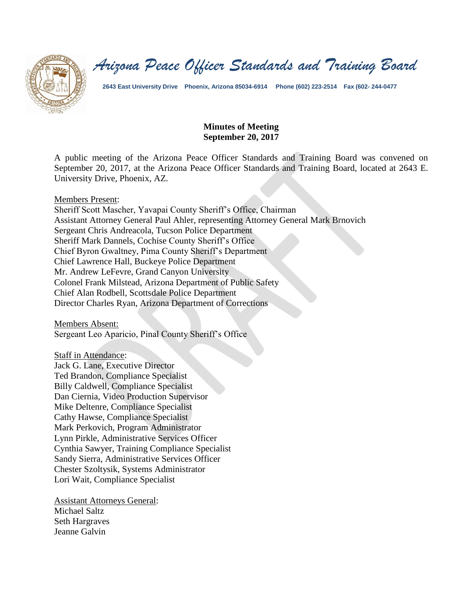

*Arizona Peace Officer Standards and Training Board*

**2643 East University Drive Phoenix, Arizona 85034-6914 Phone (602) 223-2514 Fax (602- 244-0477**

#### **Minutes of Meeting September 20, 2017**

A public meeting of the Arizona Peace Officer Standards and Training Board was convened on September 20, 2017, at the Arizona Peace Officer Standards and Training Board, located at 2643 E. University Drive, Phoenix, AZ.

#### Members Present:

Sheriff Scott Mascher, Yavapai County Sheriff's Office, Chairman Assistant Attorney General Paul Ahler, representing Attorney General Mark Brnovich Sergeant Chris Andreacola, Tucson Police Department Sheriff Mark Dannels, Cochise County Sheriff's Office Chief Byron Gwaltney, Pima County Sheriff's Department Chief Lawrence Hall, Buckeye Police Department Mr. Andrew LeFevre, Grand Canyon University Colonel Frank Milstead, Arizona Department of Public Safety Chief Alan Rodbell, Scottsdale Police Department Director Charles Ryan, Arizona Department of Corrections

Members Absent:

Sergeant Leo Aparicio, Pinal County Sheriff's Office

Staff in Attendance:

Jack G. Lane, Executive Director Ted Brandon, Compliance Specialist Billy Caldwell, Compliance Specialist Dan Ciernia, Video Production Supervisor Mike Deltenre, Compliance Specialist Cathy Hawse, Compliance Specialist Mark Perkovich, Program Administrator Lynn Pirkle, Administrative Services Officer Cynthia Sawyer, Training Compliance Specialist Sandy Sierra, Administrative Services Officer Chester Szoltysik, Systems Administrator Lori Wait, Compliance Specialist

Assistant Attorneys General: Michael Saltz Seth Hargraves Jeanne Galvin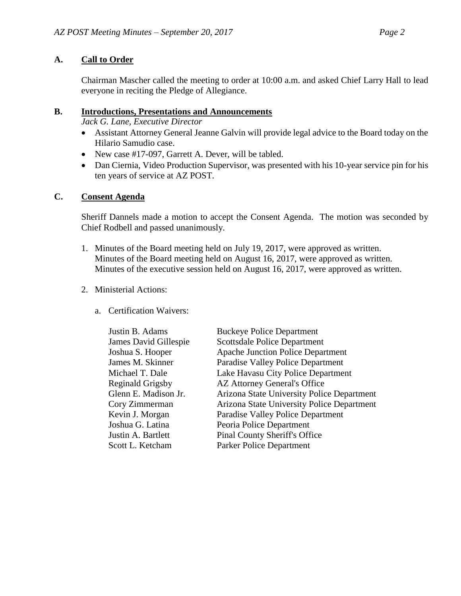## **A. Call to Order**

Chairman Mascher called the meeting to order at 10:00 a.m. and asked Chief Larry Hall to lead everyone in reciting the Pledge of Allegiance.

### **B. Introductions, Presentations and Announcements**

*Jack G. Lane, Executive Director*

- Assistant Attorney General Jeanne Galvin will provide legal advice to the Board today on the Hilario Samudio case.
- New case #17-097, Garrett A. Dever, will be tabled.
- Dan Ciernia, Video Production Supervisor, was presented with his 10-year service pin for his ten years of service at AZ POST.

### **C. Consent Agenda**

Sheriff Dannels made a motion to accept the Consent Agenda. The motion was seconded by Chief Rodbell and passed unanimously.

- 1. Minutes of the Board meeting held on July 19, 2017, were approved as written. Minutes of the Board meeting held on August 16, 2017, were approved as written. Minutes of the executive session held on August 16, 2017, were approved as written.
- 2. Ministerial Actions:
	- a. Certification Waivers:

| Justin B. Adams         | <b>Buckeye Police Department</b>           |  |
|-------------------------|--------------------------------------------|--|
| James David Gillespie   | <b>Scottsdale Police Department</b>        |  |
| Joshua S. Hooper        | <b>Apache Junction Police Department</b>   |  |
| James M. Skinner        | Paradise Valley Police Department          |  |
| Michael T. Dale         | Lake Havasu City Police Department         |  |
| <b>Reginald Grigsby</b> | <b>AZ Attorney General's Office</b>        |  |
| Glenn E. Madison Jr.    | Arizona State University Police Department |  |
| Cory Zimmerman          | Arizona State University Police Department |  |
| Kevin J. Morgan         | Paradise Valley Police Department          |  |
| Joshua G. Latina        | Peoria Police Department                   |  |
| Justin A. Bartlett      | <b>Pinal County Sheriff's Office</b>       |  |
| Scott L. Ketcham        | Parker Police Department                   |  |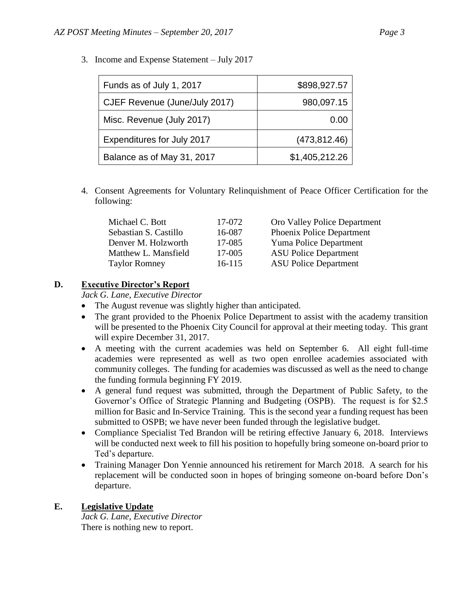| Funds as of July 1, 2017      | \$898,927.57   |
|-------------------------------|----------------|
| CJEF Revenue (June/July 2017) | 980,097.15     |
| Misc. Revenue (July 2017)     | 0.00           |
| Expenditures for July 2017    | (473, 812.46)  |
| Balance as of May 31, 2017    | \$1,405,212.26 |

3. Income and Expense Statement – July 2017

4. Consent Agreements for Voluntary Relinquishment of Peace Officer Certification for the following:

| Michael C. Bott       | 17-072 | Oro Valley Police Department  |
|-----------------------|--------|-------------------------------|
| Sebastian S. Castillo | 16-087 | Phoenix Police Department     |
| Denver M. Holzworth   | 17-085 | <b>Yuma Police Department</b> |
| Matthew L. Mansfield  | 17-005 | <b>ASU Police Department</b>  |
| <b>Taylor Romney</b>  | 16-115 | <b>ASU Police Department</b>  |

#### **D. Executive Director's Report**

*Jack G. Lane, Executive Director*

- The August revenue was slightly higher than anticipated.
- The grant provided to the Phoenix Police Department to assist with the academy transition will be presented to the Phoenix City Council for approval at their meeting today. This grant will expire December 31, 2017.
- A meeting with the current academies was held on September 6. All eight full-time academies were represented as well as two open enrollee academies associated with community colleges. The funding for academies was discussed as well as the need to change the funding formula beginning FY 2019.
- A general fund request was submitted, through the Department of Public Safety, to the Governor's Office of Strategic Planning and Budgeting (OSPB). The request is for \$2.5 million for Basic and In-Service Training. This is the second year a funding request has been submitted to OSPB; we have never been funded through the legislative budget.
- Compliance Specialist Ted Brandon will be retiring effective January 6, 2018. Interviews will be conducted next week to fill his position to hopefully bring someone on-board prior to Ted's departure.
- Training Manager Don Yennie announced his retirement for March 2018. A search for his replacement will be conducted soon in hopes of bringing someone on-board before Don's departure.

### **E. Legislative Update**

*Jack G. Lane, Executive Director* There is nothing new to report.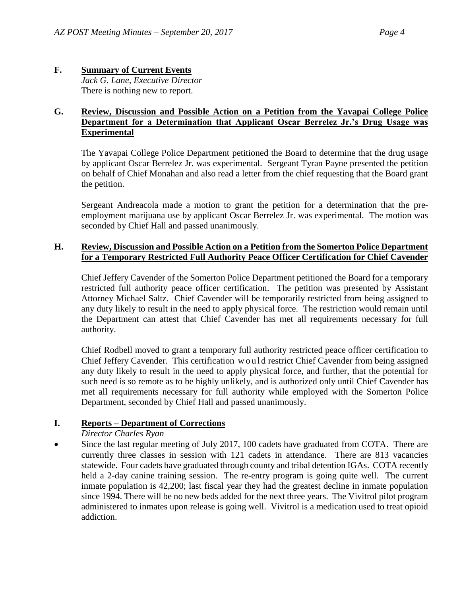#### **F. Summary of Current Events** *Jack G. Lane, Executive Director* There is nothing new to report.

### **G. Review, Discussion and Possible Action on a Petition from the Yavapai College Police Department for a Determination that Applicant Oscar Berrelez Jr.'s Drug Usage was Experimental**

The Yavapai College Police Department petitioned the Board to determine that the drug usage by applicant Oscar Berrelez Jr. was experimental. Sergeant Tyran Payne presented the petition on behalf of Chief Monahan and also read a letter from the chief requesting that the Board grant the petition.

Sergeant Andreacola made a motion to grant the petition for a determination that the preemployment marijuana use by applicant Oscar Berrelez Jr. was experimental. The motion was seconded by Chief Hall and passed unanimously.

#### **H. Review, Discussion and Possible Action on a Petition from the Somerton Police Department for a Temporary Restricted Full Authority Peace Officer Certification for Chief Cavender**

Chief Jeffery Cavender of the Somerton Police Department petitioned the Board for a temporary restricted full authority peace officer certification. The petition was presented by Assistant Attorney Michael Saltz. Chief Cavender will be temporarily restricted from being assigned to any duty likely to result in the need to apply physical force. The restriction would remain until the Department can attest that Chief Cavender has met all requirements necessary for full authority.

Chief Rodbell moved to grant a temporary full authority restricted peace officer certification to Chief Jeffery Cavender. This certification would restrict Chief Cavender from being assigned any duty likely to result in the need to apply physical force, and further, that the potential for such need is so remote as to be highly unlikely, and is authorized only until Chief Cavender has met all requirements necessary for full authority while employed with the Somerton Police Department, seconded by Chief Hall and passed unanimously.

# **I. Reports – Department of Corrections**

- *Director Charles Ryan*
- Since the last regular meeting of July 2017, 100 cadets have graduated from COTA. There are currently three classes in session with 121 cadets in attendance. There are 813 vacancies statewide. Four cadets have graduated through county and tribal detention IGAs. COTA recently held a 2-day canine training session. The re-entry program is going quite well. The current inmate population is 42,200; last fiscal year they had the greatest decline in inmate population since 1994. There will be no new beds added for the next three years. The Vivitrol pilot program administered to inmates upon release is going well. Vivitrol is a medication used to treat opioid addiction.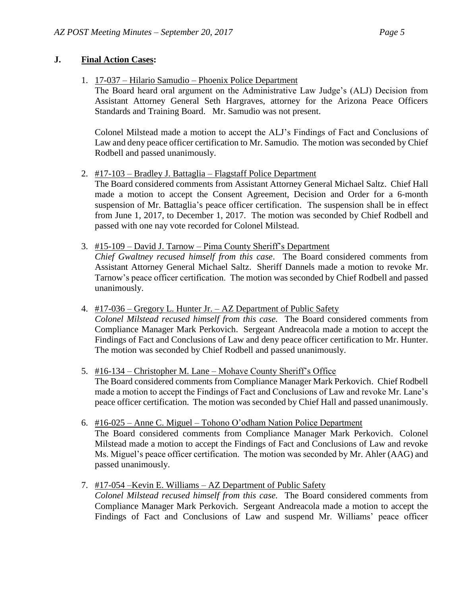### **J. Final Action Cases:**

1. 17-037 – Hilario Samudio – Phoenix Police Department

The Board heard oral argument on the Administrative Law Judge's (ALJ) Decision from Assistant Attorney General Seth Hargraves, attorney for the Arizona Peace Officers Standards and Training Board. Mr. Samudio was not present.

Colonel Milstead made a motion to accept the ALJ's Findings of Fact and Conclusions of Law and deny peace officer certification to Mr. Samudio. The motion was seconded by Chief Rodbell and passed unanimously.

2. #17-103 – Bradley J. Battaglia – Flagstaff Police Department

The Board considered comments from Assistant Attorney General Michael Saltz. Chief Hall made a motion to accept the Consent Agreement, Decision and Order for a 6-month suspension of Mr. Battaglia's peace officer certification. The suspension shall be in effect from June 1, 2017, to December 1, 2017. The motion was seconded by Chief Rodbell and passed with one nay vote recorded for Colonel Milstead.

- 3. #15-109 David J. Tarnow Pima County Sheriff's Department
	- *Chief Gwaltney recused himself from this case*. The Board considered comments from Assistant Attorney General Michael Saltz. Sheriff Dannels made a motion to revoke Mr. Tarnow's peace officer certification. The motion was seconded by Chief Rodbell and passed unanimously.
- 4. #17-036 Gregory L. Hunter Jr. AZ Department of Public Safety *Colonel Milstead recused himself from this case.* The Board considered comments from Compliance Manager Mark Perkovich. Sergeant Andreacola made a motion to accept the Findings of Fact and Conclusions of Law and deny peace officer certification to Mr. Hunter. The motion was seconded by Chief Rodbell and passed unanimously.
- 5. #16-134 Christopher M. Lane Mohave County Sheriff's Office The Board considered comments from Compliance Manager Mark Perkovich. Chief Rodbell made a motion to accept the Findings of Fact and Conclusions of Law and revoke Mr. Lane's peace officer certification. The motion was seconded by Chief Hall and passed unanimously.
- 6. #16-025 Anne C. Miguel Tohono O'odham Nation Police Department The Board considered comments from Compliance Manager Mark Perkovich. Colonel Milstead made a motion to accept the Findings of Fact and Conclusions of Law and revoke Ms. Miguel's peace officer certification. The motion was seconded by Mr. Ahler (AAG) and passed unanimously.
- 7. #17-054 –Kevin E. Williams AZ Department of Public Safety

*Colonel Milstead recused himself from this case.* The Board considered comments from Compliance Manager Mark Perkovich. Sergeant Andreacola made a motion to accept the Findings of Fact and Conclusions of Law and suspend Mr. Williams' peace officer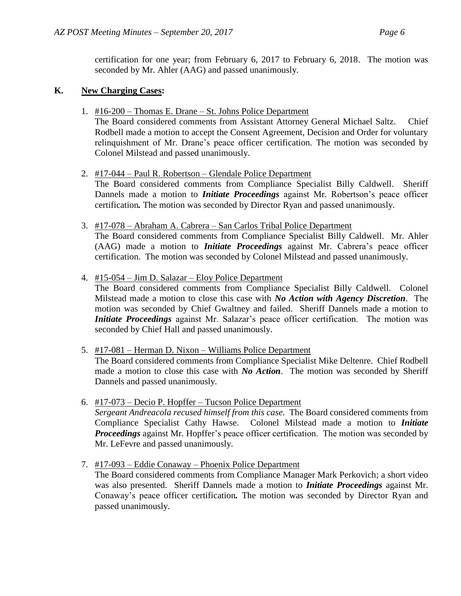certification for one year; from February 6, 2017 to February 6, 2018. The motion was seconded by Mr. Ahler (AAG) and passed unanimously.

#### **K. New Charging Cases:**

1. #16-200 – Thomas E. Drane – St. Johns Police Department

The Board considered comments from Assistant Attorney General Michael Saltz. Chief Rodbell made a motion to accept the Consent Agreement, Decision and Order for voluntary relinquishment of Mr. Drane's peace officer certification. The motion was seconded by Colonel Milstead and passed unanimously.

- 2. #17-044 Paul R. Robertson Glendale Police Department The Board considered comments from Compliance Specialist Billy Caldwell. Sheriff Dannels made a motion to *Initiate Proceedings* against Mr. Robertson's peace officer certification*.* The motion was seconded by Director Ryan and passed unanimously.
- 3. #17-078 Abraham A. Cabrera San Carlos Tribal Police Department The Board considered comments from Compliance Specialist Billy Caldwell. Mr. Ahler (AAG) made a motion to *Initiate Proceedings* against Mr. Cabrera's peace officer certification. The motion was seconded by Colonel Milstead and passed unanimously.
- 4. #15-054 Jim D. Salazar Eloy Police Department

The Board considered comments from Compliance Specialist Billy Caldwell. Colonel Milstead made a motion to close this case with *No Action with Agency Discretion*. The motion was seconded by Chief Gwaltney and failed. Sheriff Dannels made a motion to *Initiate Proceedings* against Mr. Salazar's peace officer certification. The motion was seconded by Chief Hall and passed unanimously.

- 5. #17-081 Herman D. Nixon Williams Police Department The Board considered comments from Compliance Specialist Mike Deltenre. Chief Rodbell made a motion to close this case with *No Action*. The motion was seconded by Sheriff Dannels and passed unanimously.
- 6. #17-073 Decio P. Hopffer Tucson Police Department *Sergeant Andreacola recused himself from this case*. The Board considered comments from Compliance Specialist Cathy Hawse. Colonel Milstead made a motion to *Initiate Proceedings* against Mr. Hopffer's peace officer certification. The motion was seconded by Mr. LeFevre and passed unanimously.
- 7. #17-093 Eddie Conaway Phoenix Police Department The Board considered comments from Compliance Manager Mark Perkovich; a short video was also presented. Sheriff Dannels made a motion to *Initiate Proceedings* against Mr. Conaway's peace officer certification*.* The motion was seconded by Director Ryan and passed unanimously.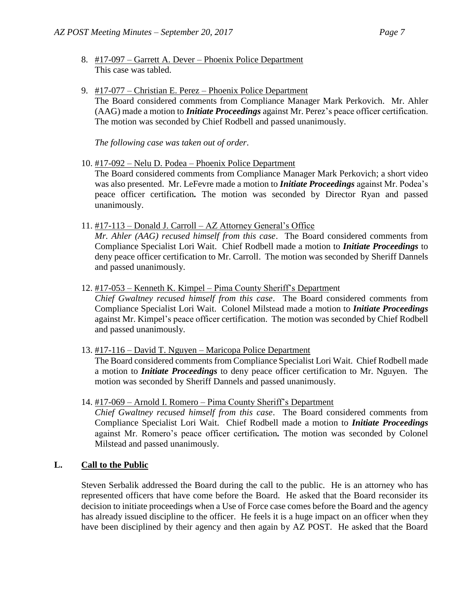- 8. #17-097 Garrett A. Dever Phoenix Police Department This case was tabled.
- 9. #17-077 Christian E. Perez Phoenix Police Department The Board considered comments from Compliance Manager Mark Perkovich. Mr. Ahler (AAG) made a motion to *Initiate Proceedings* against Mr. Perez's peace officer certification. The motion was seconded by Chief Rodbell and passed unanimously.

*The following case was taken out of order*.

10. #17-092 – Nelu D. Podea – Phoenix Police Department

The Board considered comments from Compliance Manager Mark Perkovich; a short video was also presented. Mr. LeFevre made a motion to *Initiate Proceedings* against Mr. Podea's peace officer certification*.* The motion was seconded by Director Ryan and passed unanimously.

11. #17-113 – Donald J. Carroll – AZ Attorney General's Office

*Mr. Ahler (AAG) recused himself from this case*. The Board considered comments from Compliance Specialist Lori Wait. Chief Rodbell made a motion to *Initiate Proceedings* to deny peace officer certification to Mr. Carroll. The motion was seconded by Sheriff Dannels and passed unanimously.

12. #17-053 – Kenneth K. Kimpel – Pima County Sheriff's Department

*Chief Gwaltney recused himself from this case*. The Board considered comments from Compliance Specialist Lori Wait. Colonel Milstead made a motion to *Initiate Proceedings* against Mr. Kimpel's peace officer certification. The motion was seconded by Chief Rodbell and passed unanimously.

13. #17-116 – David T. Nguyen – Maricopa Police Department

The Board considered comments from Compliance Specialist Lori Wait. Chief Rodbell made a motion to *Initiate Proceedings* to deny peace officer certification to Mr. Nguyen. The motion was seconded by Sheriff Dannels and passed unanimously.

14. #17-069 – Arnold I. Romero – Pima County Sheriff's Department *Chief Gwaltney recused himself from this case*. The Board considered comments from Compliance Specialist Lori Wait. Chief Rodbell made a motion to *Initiate Proceedings* against Mr. Romero's peace officer certification*.* The motion was seconded by Colonel Milstead and passed unanimously.

### **L. Call to the Public**

Steven Serbalik addressed the Board during the call to the public. He is an attorney who has represented officers that have come before the Board. He asked that the Board reconsider its decision to initiate proceedings when a Use of Force case comes before the Board and the agency has already issued discipline to the officer. He feels it is a huge impact on an officer when they have been disciplined by their agency and then again by AZ POST. He asked that the Board